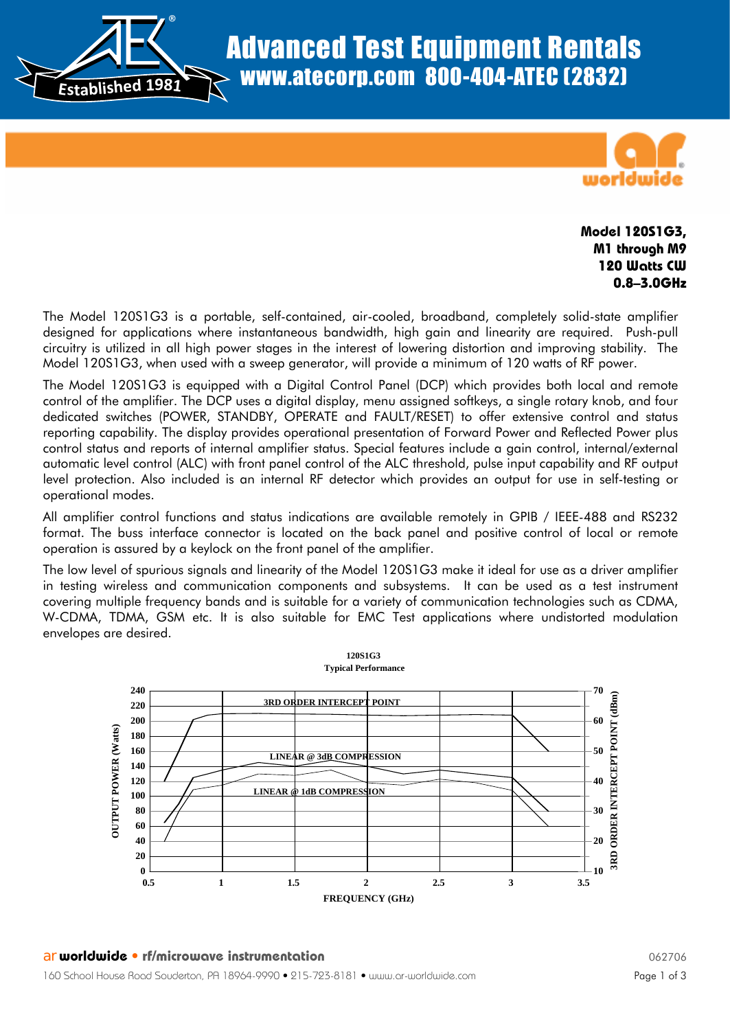® **Established <sup>1</sup>981**



## **Model 120S1G3, M1 through M9 120 Watts CW 0.8–3.0GHz**

The Model 120S1G3 is a portable, self-contained, air-cooled, broadband, completely solid-state amplifier designed for applications where instantaneous bandwidth, high gain and linearity are required. Push-pull circuitry is utilized in all high power stages in the interest of lowering distortion and improving stability. The Model 120S1G3, when used with a sweep generator, will provide a minimum of 120 watts of RF power.

The Model 120S1G3 is equipped with a Digital Control Panel (DCP) which provides both local and remote control of the amplifier. The DCP uses a digital display, menu assigned softkeys, a single rotary knob, and four dedicated switches (POWER, STANDBY, OPERATE and FAULT/RESET) to offer extensive control and status reporting capability. The display provides operational presentation of Forward Power and Reflected Power plus control status and reports of internal amplifier status. Special features include a gain control, internal/external automatic level control (ALC) with front panel control of the ALC threshold, pulse input capability and RF output level protection. Also included is an internal RF detector which provides an output for use in self-testing or operational modes.

All amplifier control functions and status indications are available remotely in GPIB / IEEE-488 and RS232 format. The buss interface connector is located on the back panel and positive control of local or remote operation is assured by a keylock on the front panel of the amplifier.

The low level of spurious signals and linearity of the Model 120S1G3 make it ideal for use as a driver amplifier in testing wireless and communication components and subsystems. It can be used as a test instrument covering multiple frequency bands and is suitable for a variety of communication technologies such as CDMA, W-CDMA, TDMA, GSM etc. It is also suitable for EMC Test applications where undistorted modulation envelopes are desired.

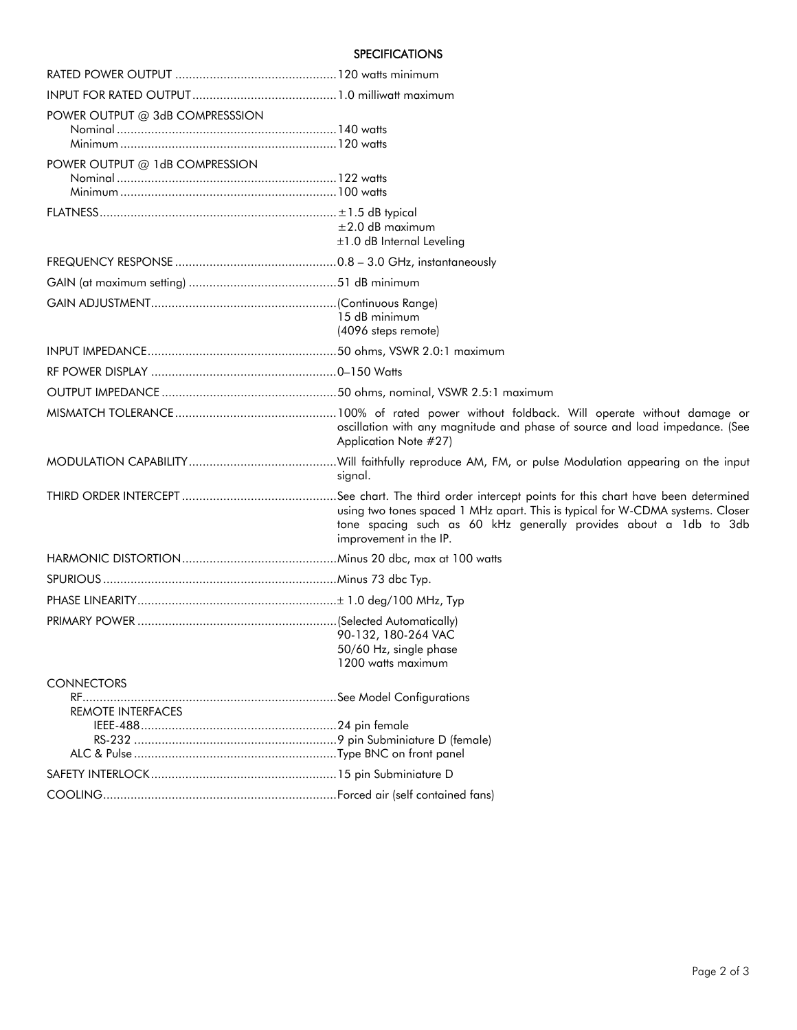## **SPECIFICATIONS**

| POWER OUTPUT @ 3dB COMPRESSSION |                                                                                                                                                                               |  |  |
|---------------------------------|-------------------------------------------------------------------------------------------------------------------------------------------------------------------------------|--|--|
|                                 |                                                                                                                                                                               |  |  |
| POWER OUTPUT @ 1dB COMPRESSION  |                                                                                                                                                                               |  |  |
|                                 |                                                                                                                                                                               |  |  |
|                                 |                                                                                                                                                                               |  |  |
|                                 |                                                                                                                                                                               |  |  |
|                                 | $\pm 2.0$ dB maximum                                                                                                                                                          |  |  |
|                                 | $\pm 1.0$ dB Internal Leveling                                                                                                                                                |  |  |
|                                 |                                                                                                                                                                               |  |  |
|                                 |                                                                                                                                                                               |  |  |
|                                 |                                                                                                                                                                               |  |  |
|                                 | 15 dB minimum<br>(4096 steps remote)                                                                                                                                          |  |  |
|                                 |                                                                                                                                                                               |  |  |
|                                 |                                                                                                                                                                               |  |  |
|                                 |                                                                                                                                                                               |  |  |
|                                 |                                                                                                                                                                               |  |  |
|                                 | oscillation with any magnitude and phase of source and load impedance. (See<br>Application Note #27)                                                                          |  |  |
|                                 | signal.                                                                                                                                                                       |  |  |
|                                 |                                                                                                                                                                               |  |  |
|                                 | using two tones spaced 1 MHz apart. This is typical for W-CDMA systems. Closer<br>tone spacing such as 60 kHz generally provides about a 1db to 3db<br>improvement in the IP. |  |  |
|                                 |                                                                                                                                                                               |  |  |
|                                 |                                                                                                                                                                               |  |  |
|                                 |                                                                                                                                                                               |  |  |
|                                 |                                                                                                                                                                               |  |  |
|                                 | 90-132, 180-264 VAC<br>50/60 Hz, single phase                                                                                                                                 |  |  |
|                                 | 1200 watts maximum                                                                                                                                                            |  |  |
| <b>CONNECTORS</b>               |                                                                                                                                                                               |  |  |
| REMOTE INTERFACES               |                                                                                                                                                                               |  |  |
|                                 |                                                                                                                                                                               |  |  |
|                                 |                                                                                                                                                                               |  |  |
|                                 |                                                                                                                                                                               |  |  |
|                                 |                                                                                                                                                                               |  |  |